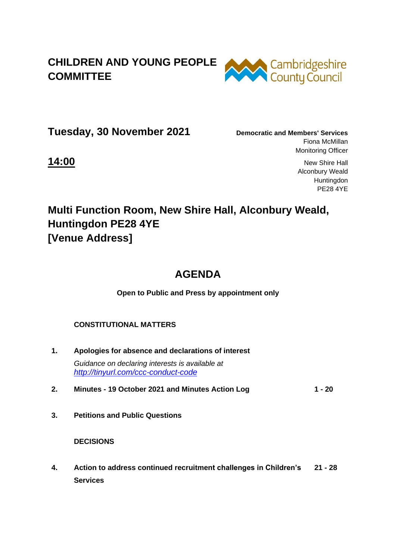## **CHILDREN AND YOUNG PEOPLE COMMITTEE**



**Tuesday, 30 November 2021 Democratic and Members' Services**

Fiona McMillan Monitoring Officer

**14:00** New Shire Hall Alconbury Weald **Huntingdon** PE28 4YE

# **Multi Function Room, New Shire Hall, Alconbury Weald, Huntingdon PE28 4YE [Venue Address]**

## **AGENDA**

**Open to Public and Press by appointment only**

#### **CONSTITUTIONAL MATTERS**

- **1. Apologies for absence and declarations of interest** *Guidance on declaring interests is available at <http://tinyurl.com/ccc-conduct-code>*
- **2. Minutes - 19 October 2021 and Minutes Action Log 1 - 20**
- **3. Petitions and Public Questions**

 **DECISIONS** 

**4. Action to address continued recruitment challenges in Children's Services 21 - 28**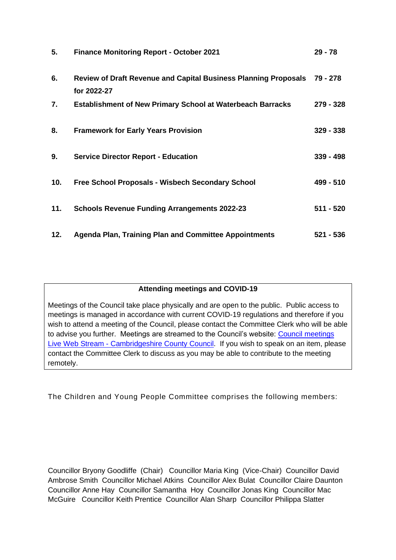| 5.  | <b>Finance Monitoring Report - October 2021</b>                                       | $29 - 78$   |
|-----|---------------------------------------------------------------------------------------|-------------|
| 6.  | <b>Review of Draft Revenue and Capital Business Planning Proposals</b><br>for 2022-27 | 79 - 278    |
| 7.  | <b>Establishment of New Primary School at Waterbeach Barracks</b>                     | 279 - 328   |
| 8.  | <b>Framework for Early Years Provision</b>                                            | $329 - 338$ |
| 9.  | <b>Service Director Report - Education</b>                                            | $339 - 498$ |
| 10. | <b>Free School Proposals - Wisbech Secondary School</b>                               | 499 - 510   |
| 11. | <b>Schools Revenue Funding Arrangements 2022-23</b>                                   | $511 - 520$ |
| 12. | <b>Agenda Plan, Training Plan and Committee Appointments</b>                          | $521 - 536$ |

#### **Attending meetings and COVID-19**

Meetings of the Council take place physically and are open to the public. Public access to meetings is managed in accordance with current COVID-19 regulations and therefore if you wish to attend a meeting of the Council, please contact the Committee Clerk who will be able to advise you further. Meetings are streamed to the Council's website: [Council meetings](https://www.cambridgeshire.gov.uk/council/meetings-and-decisions/council-meetings-live-web-stream)  Live Web Stream - [Cambridgeshire County Council.](https://www.cambridgeshire.gov.uk/council/meetings-and-decisions/council-meetings-live-web-stream) If you wish to speak on an item, please contact the Committee Clerk to discuss as you may be able to contribute to the meeting remotely.

The Children and Young People Committee comprises the following members:

Councillor Bryony Goodliffe (Chair) Councillor Maria King (Vice-Chair) Councillor David Ambrose Smith Councillor Michael Atkins Councillor Alex Bulat Councillor Claire Daunton Councillor Anne Hay Councillor Samantha Hoy Councillor Jonas King Councillor Mac McGuire Councillor Keith Prentice Councillor Alan Sharp Councillor Philippa Slatter